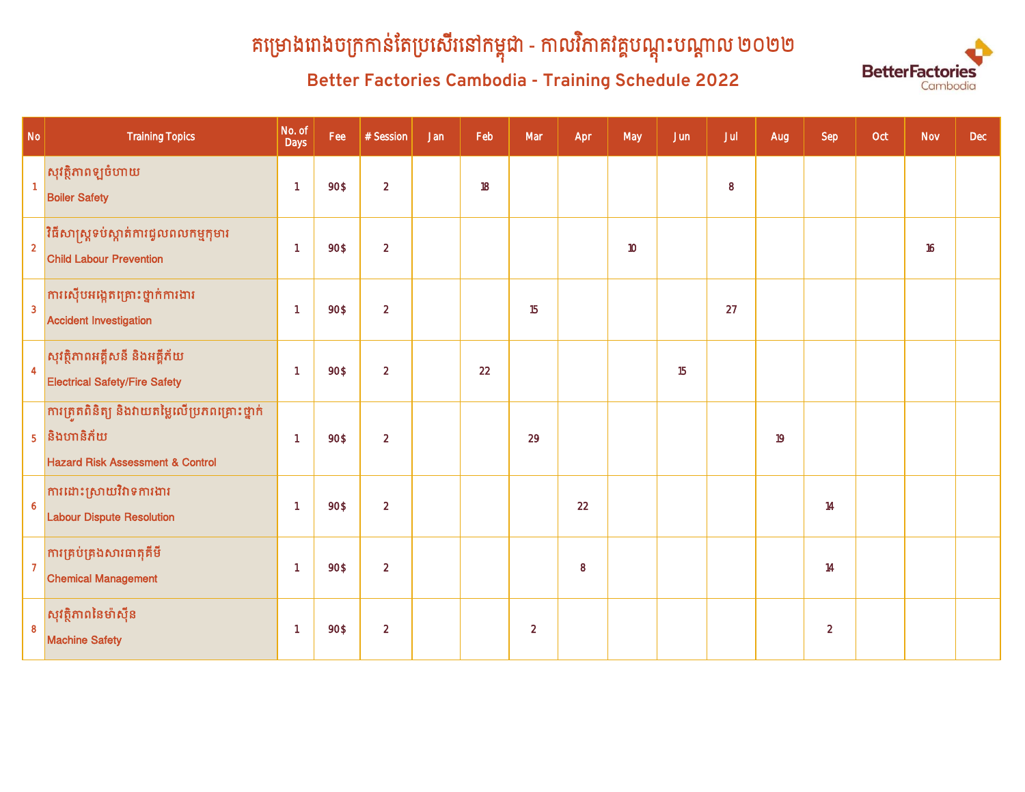# គម្រោងពាងចក្រកាន់តេប្រសេរនោកម្ពុជា - កាលវភាគវគ្គបណ្តុះបណ្តាល ២០២២

# **Better Factories Cambodia - Training Schedule 2022**



| $\mathsf{No}$    | <b>Training Topics</b>                                                                                         | No. of<br>Days           | Fee  | $#$ Session    | Jan | Feb | Mar            | Apr | May | Jun | Jul     | Aug | Sep            | Oct | <b>Nov</b> | Dec |
|------------------|----------------------------------------------------------------------------------------------------------------|--------------------------|------|----------------|-----|-----|----------------|-----|-----|-----|---------|-----|----------------|-----|------------|-----|
| $\blacksquare$   | សុវត្ថិភាពឡូចំហាយ<br><b>Boiler Safety</b>                                                                      | $\overline{1}$           | 90\$ | $\overline{2}$ |     | 18  |                |     |     |     | $\bf 8$ |     |                |     |            |     |
| $\overline{2}$   | <mark>វិធីសាស្ត្រទប់ស្កាត់ការជ្វលពលកម្មកុមារ</mark><br><b>Child Labour Prevention</b>                          | $\overline{1}$           | 90\$ | $\overline{2}$ |     |     |                |     | 10  |     |         |     |                |     | 16         |     |
| $\overline{3}$   | ការស៊ើបអង្កេតគ្រោះថ្នាក់ការងារ<br><b>Accident Investigation</b>                                                | $\overline{1}$           | 90\$ | $\overline{2}$ |     |     | 15             |     |     |     | 27      |     |                |     |            |     |
| $\overline{4}$   | សុវត្ថិភាពអគ្គីសនី និងអគ្គីភ័យ<br><b>Electrical Safety/Fire Safety</b>                                         | $\overline{1}$           | 90\$ | $\overline{2}$ |     | 22  |                |     |     | 15  |         |     |                |     |            |     |
|                  | ការត្រួតពិនិត្យ និងវាយតម្លៃលើប្រភពគ្រោះថ្នាក់<br>$5$ និងហានិភ័យ<br><b>Hazard Risk Assessment &amp; Control</b> | $\overline{1}$           | 90\$ | $\overline{2}$ |     |     | 29             |     |     |     |         | 19  |                |     |            |     |
| $\boldsymbol{6}$ | <mark>ការដោះស្រាយវិវាទការងារ</mark><br><b>Labour Dispute Resolution</b>                                        | $\overline{1}$           | 90\$ | $\overline{2}$ |     |     |                | 22  |     |     |         |     | 14             |     |            |     |
| $\overline{7}$   | <mark>ការគ្រប់គ្រងសារធាតុគីមី</mark><br><b>Chemical Management</b>                                             | $\overline{1}$           | 90\$ | $\overline{2}$ |     |     |                | 8   |     |     |         |     | 14             |     |            |     |
| 8                | សុវត្ថិភាពនៃម៉ាស៊ីន<br><b>Machine Safety</b>                                                                   | $\overline{\phantom{a}}$ | 90\$ | $\overline{2}$ |     |     | $\overline{2}$ |     |     |     |         |     | $\overline{2}$ |     |            |     |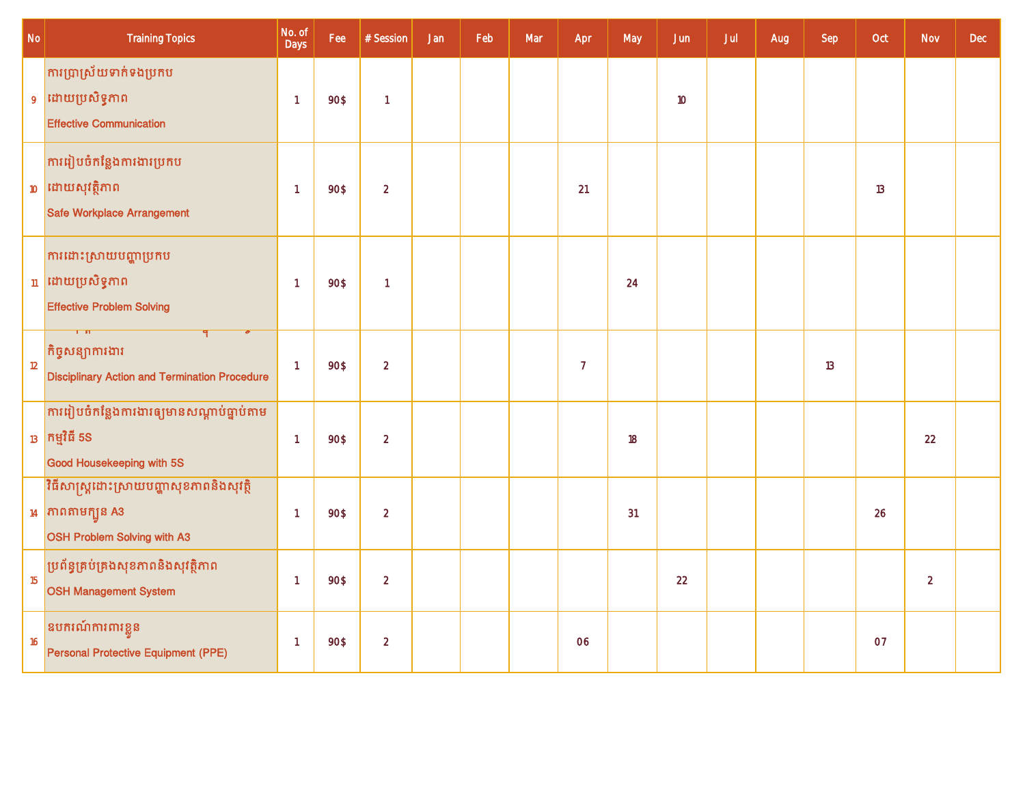| $\mathsf{No}$ | <b>Training Topics</b>                                                                         | No. of<br>Days | Fee  | $#$ Session    | Jan | Feb | Mar | Apr            | May | Jun | Jul | Aug | Sep | Oct | <b>Nov</b>     | <b>Dec</b> |
|---------------|------------------------------------------------------------------------------------------------|----------------|------|----------------|-----|-----|-----|----------------|-----|-----|-----|-----|-----|-----|----------------|------------|
|               | <mark>ការប្រាស្រ័យទាក់ទងប្រកប</mark><br>9 ដោយប្រសិទ្ធភាព<br><b>Effective Communication</b>     | $\overline{1}$ | 90\$ | $\overline{1}$ |     |     |     |                |     | 10  |     |     |     |     |                |            |
|               | ការរៀបចំកន្លែងការងារប្រកប<br>$10$ ដោយសុវត្ថិភាព<br>Safe Workplace Arrangement                  | -1             | 90\$ | $\overline{2}$ |     |     |     | 21             |     |     |     |     |     | 13  |                |            |
|               | ការដោះស្រាយបញ្ហាប្រកប<br><sub>11</sub> ដោយប្រសិទ្ធភាព<br><b>Effective Problem Solving</b>      | $\overline{1}$ | 90\$ | $\overline{1}$ |     |     |     |                | 24  |     |     |     |     |     |                |            |
| 12            | គិច្ចសន្យាការងារ<br><b>Disciplinary Action and Termination Procedure</b>                       | $\overline{1}$ | 90\$ | $\overline{2}$ |     |     |     | $\overline{7}$ |     |     |     |     | 13  |     |                |            |
|               | ការរៀបចំកន្លែងការងារឲ្យមានសណ្តាប់ធ្នាប់តាម<br>$_{13}$ កម្មវិធី 5S<br>Good Housekeeping with 5S | $\overline{1}$ | 90\$ | $\overline{2}$ |     |     |     |                | 18  |     |     |     |     |     | 22             |            |
|               | វិធីសាស្ត្រដោះស្រាយបញ្ហាសុខភាពនិងសុវត្ថិ<br>$14$ កាពតាមក្បួន A3<br>OSH Problem Solving with A3 | $\overline{1}$ | 90\$ | $\overline{2}$ |     |     |     |                | 31  |     |     |     |     | 26  |                |            |
| 15            | ប្រព័ន្ធគ្រប់គ្រងសុខភាពនិងសុវត្ថិភាព<br><b>OSH Management System</b>                           | -1             | 90\$ | $\overline{2}$ |     |     |     |                |     | 22  |     |     |     |     | $\overline{2}$ |            |
| 16            | ឧបករណ៍ការពារខ្លួន<br>Personal Protective Equipment (PPE)                                       | -1             | 90\$ | $\overline{2}$ |     |     |     | 06             |     |     |     |     |     | 07  |                |            |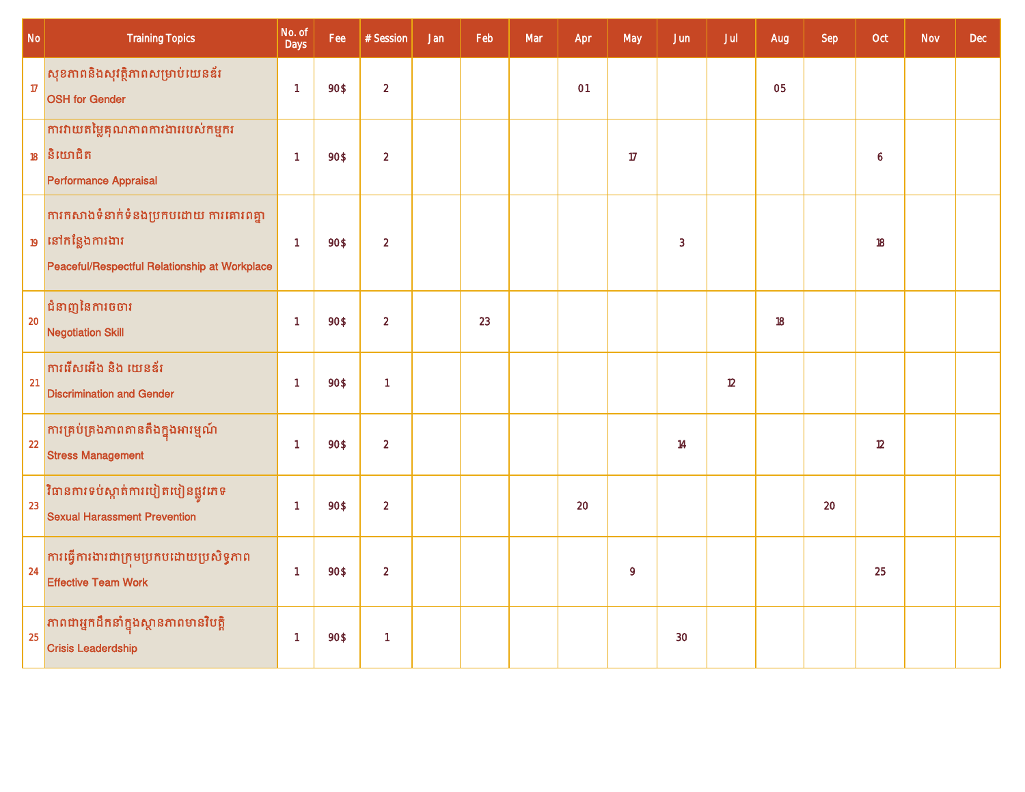| $\mathsf{No}$ | <b>Training Topics</b>                                                                                                 | No. of<br>Days | Fee  | # Session      | Jan | Feb | Mar | Apr | May | Jun | Jul | Aug                  | Sep | Oct | <b>Nov</b> | <b>Dec</b> |
|---------------|------------------------------------------------------------------------------------------------------------------------|----------------|------|----------------|-----|-----|-----|-----|-----|-----|-----|----------------------|-----|-----|------------|------------|
| 17            | សុខភាពនិងសុវត្ថិភាពសម្រាប់យេនឌ័រ<br><b>OSH</b> for Gender                                                              | $\overline{1}$ | 90\$ | $\overline{2}$ |     |     |     | O1  |     |     |     | <b>O<sub>5</sub></b> |     |     |            |            |
|               | ការវាយតម្លៃគុណភាពការងាររបស់កម្មករ<br>$18$ និយោជិត<br>Performance Appraisal                                             | $\overline{1}$ | 90\$ | $\overline{2}$ |     |     |     |     | 17  |     |     |                      |     | 6   |            |            |
|               | ការកសាងទំនាក់ទំនងប្រកបដោយ ការគោរពគ្នា<br><sub>19</sub> នៅកន្លែងការងារ<br>Peaceful/Respectful Relationship at Workplace | $\overline{1}$ | 90\$ | $\overline{2}$ |     |     |     |     |     | 3   |     |                      |     | 18  |            |            |
| 20            | ជំនាញនៃការចចារ<br><b>Negotiation Skill</b>                                                                             | $\overline{1}$ | 90\$ | $\sqrt{2}$     |     | 23  |     |     |     |     |     | 18                   |     |     |            |            |
| 21            | <b>ការរើសអើង និង យេនឌ័រ</b><br><b>Discrimination and Gender</b>                                                        | $\overline{1}$ | 90\$ | $\mathbf{1}$   |     |     |     |     |     |     | 12  |                      |     |     |            |            |
| 22            | <mark>ការគ្រប់គ្រងភាពតានតឹងក្នុងអារម្មណ៍</mark><br><b>Stress Management</b>                                            | $\overline{1}$ | 90\$ | $\overline{2}$ |     |     |     |     |     | 14  |     |                      |     | 12  |            |            |
| 23            | <mark>វិធានការទប់ស្កាត់ការបៀតបៀនផ្លូវភេទ</mark><br><b>Sexual Harassment Prevention</b>                                 | $\overline{1}$ | 90\$ | $\overline{2}$ |     |     |     | 20  |     |     |     |                      | 20  |     |            |            |
| 24            | <mark>ការធ្វើការងារជាក្រុមប្រកបដោយប្រសិទ្ធភាព</mark><br><b>Effective Team Work</b>                                     | $\overline{1}$ | 90\$ | $\sqrt{2}$     |     |     |     |     | 9   |     |     |                      |     | 25  |            |            |
| 25            | ភាពជាអ្នកដឹកនាំក្នុងស្ថានភាពមានវិបត្តិ<br><b>Crisis Leaderdship</b>                                                    | $\overline{1}$ | 90\$ | $\overline{1}$ |     |     |     |     |     | 30  |     |                      |     |     |            |            |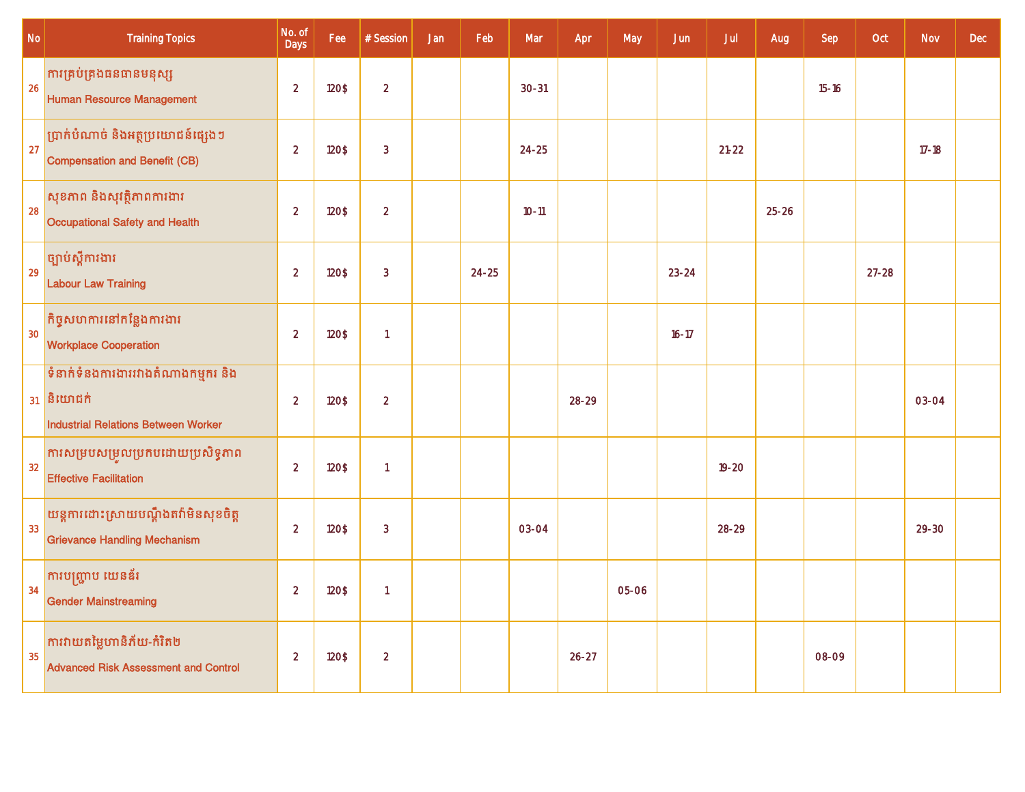| $\mathsf{No}$ | <b>Training Topics</b>                                                                     | No. of<br>Days | Fee   | # Session      | Jan | Feb       | Mar       | Apr       | May   | Jun       | Jul       | Aug       | Sep       | Oct       | Nov       | Dec |
|---------------|--------------------------------------------------------------------------------------------|----------------|-------|----------------|-----|-----------|-----------|-----------|-------|-----------|-----------|-----------|-----------|-----------|-----------|-----|
| 26            | ការគ្រប់គ្រងធនធានមនុស្ស<br><b>Human Resource Management</b>                                | $\overline{2}$ | 120\$ | $\overline{2}$ |     |           | $30 - 31$ |           |       |           |           |           | $15 - 16$ |           |           |     |
| 27            | ប្រាក់បំណាច់ និងអត្ថប្រយោជន៍ផ្សេងៗ<br><b>Compensation and Benefit (CB)</b>                 | $\overline{2}$ | 120\$ | $\overline{3}$ |     |           | $24 - 25$ |           |       |           | $21 - 22$ |           |           |           | $17 - 18$ |     |
| 28            | សុខភាព និងសុវត្ថិភាពការងារ<br>Occupational Safety and Health                               | $\overline{2}$ | 120\$ | $\overline{2}$ |     |           | $10 - 11$ |           |       |           |           | $25 - 26$ |           |           |           |     |
| 29            | ច្បាប់ស្តីការងារ<br><b>Labour Law Training</b>                                             | $\overline{2}$ | 120\$ | 3              |     | $24 - 25$ |           |           |       | $23 - 24$ |           |           |           | $27 - 28$ |           |     |
| 30            | គិច្ចសហការនៅកន្លែងការងារ<br><b>Workplace Cooperation</b>                                   | $\overline{2}$ | 120\$ | $\overline{1}$ |     |           |           |           |       | $16 - 17$ |           |           |           |           |           |     |
|               | ទំនាក់ទំនងការងាររវាងតំណាងកម្មករ និង<br>$31$ និយោជក់<br>Industrial Relations Between Worker | $\overline{2}$ | 120\$ | $\overline{2}$ |     |           |           | 28-29     |       |           |           |           |           |           | 03-04     |     |
| 32            | ការសម្របសម្រួលប្រកបដោយប្រសិទ្ធភាព<br><b>Effective Facilitation</b>                         | $\overline{2}$ | 120\$ | $\mathbf{1}$   |     |           |           |           |       |           | $19 - 20$ |           |           |           |           |     |
| 33            | យន្តការដោះស្រាយបណ្តឹងតវ៉ាមិនសុខចិត្ត<br><b>Grievance Handling Mechanism</b>                | $\overline{2}$ | 120\$ | $\overline{3}$ |     |           | 03-04     |           |       |           | $28-29$   |           |           |           | $29 - 30$ |     |
| 34            | ការបញ្ជ្រាប យេនឌ័រ<br><b>Gender Mainstreaming</b>                                          | $\overline{2}$ | 120\$ | $\mathbf{1}$   |     |           |           |           | 05-06 |           |           |           |           |           |           |     |
| 35            | ការវាយតម្លៃហានិភ័យ-កំរិត២<br><b>Advanced Risk Assessment and Control</b>                   | $\overline{2}$ | 120\$ | $\overline{2}$ |     |           |           | $26 - 27$ |       |           |           |           | 08-09     |           |           |     |